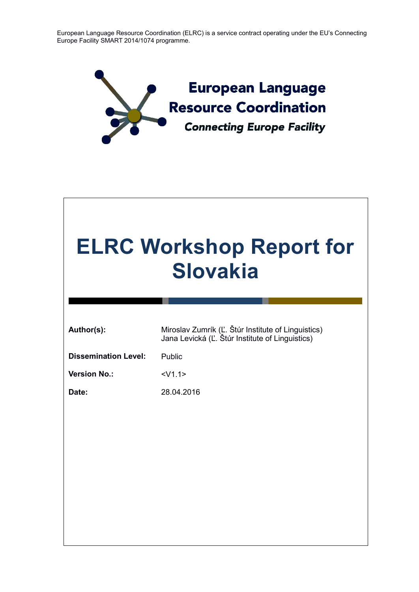European Language Resource Coordination (ELRC) is a service contract operating under the EU's Connecting Europe Facility SMART 2014/1074 programme.



| <b>ELRC Workshop Report for</b><br><b>Slovakia</b> |                                                                                                       |  |
|----------------------------------------------------|-------------------------------------------------------------------------------------------------------|--|
|                                                    |                                                                                                       |  |
| Author(s):                                         | Miroslav Zumrík (Ľ. Štúr Institute of Linguistics)<br>Jana Levická (Ľ. Štúr Institute of Linguistics) |  |
| <b>Dissemination Level:</b>                        | Public                                                                                                |  |
| <b>Version No.:</b>                                | $<$ V1.1>                                                                                             |  |
| Date:                                              | 28.04.2016                                                                                            |  |
|                                                    |                                                                                                       |  |
|                                                    |                                                                                                       |  |
|                                                    |                                                                                                       |  |
|                                                    |                                                                                                       |  |
|                                                    |                                                                                                       |  |
|                                                    |                                                                                                       |  |
|                                                    |                                                                                                       |  |
|                                                    |                                                                                                       |  |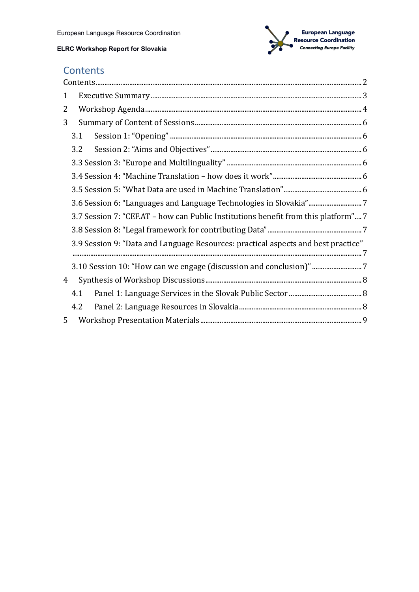

# <span id="page-1-0"></span>**Contents**

| $\mathbf{1}$ |                                                                                    |  |  |
|--------------|------------------------------------------------------------------------------------|--|--|
| 2            |                                                                                    |  |  |
| 3            |                                                                                    |  |  |
|              | 3.1                                                                                |  |  |
|              | 3.2                                                                                |  |  |
|              |                                                                                    |  |  |
|              |                                                                                    |  |  |
|              |                                                                                    |  |  |
|              | 3.6 Session 6: "Languages and Language Technologies in Slovakia"7                  |  |  |
|              | 3.7 Session 7: "CEF.AT – how can Public Institutions benefit from this platform" 7 |  |  |
|              |                                                                                    |  |  |
|              | 3.9 Session 9: "Data and Language Resources: practical aspects and best practice"  |  |  |
|              |                                                                                    |  |  |
| 4            |                                                                                    |  |  |
|              | 4.1                                                                                |  |  |
|              | 4.2                                                                                |  |  |
| 5            |                                                                                    |  |  |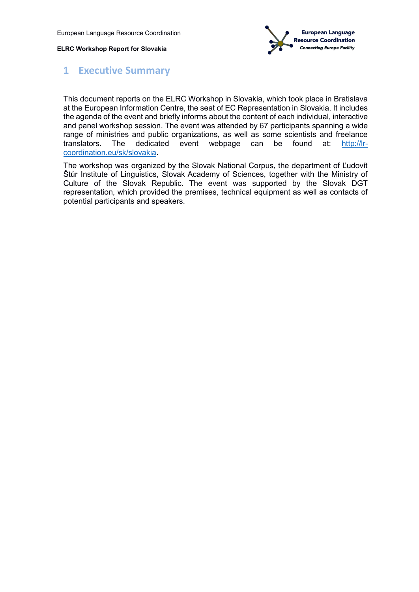

## <span id="page-2-0"></span>**1 Executive Summary**

This document reports on the ELRC Workshop in Slovakia, which took place in Bratislava at the European Information Centre, the seat of EC Representation in Slovakia. It includes the agenda of the event and briefly informs about the content of each individual, interactive and panel workshop session. The event was attended by 67 participants spanning a wide range of ministries and public organizations, as well as some scientists and freelance translators. The dedicated event webpage can be found at: [http://lr](http://lr-coordination.eu/sk/slovakia)[coordination.eu/sk/slovakia.](http://lr-coordination.eu/sk/slovakia)

The workshop was organized by the Slovak National Corpus, the department of Ľudovít Štúr Institute of Linguistics, Slovak Academy of Sciences, together with the Ministry of Culture of the Slovak Republic. The event was supported by the Slovak DGT representation, which provided the premises, technical equipment as well as contacts of potential participants and speakers.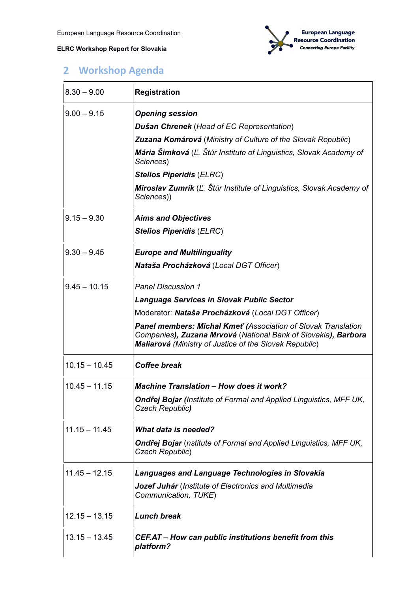

# <span id="page-3-0"></span>**2 Workshop Agenda**

| $8.30 - 9.00$   | <b>Registration</b>                                                                                                                                                                               |
|-----------------|---------------------------------------------------------------------------------------------------------------------------------------------------------------------------------------------------|
| $9.00 - 9.15$   | <b>Opening session</b>                                                                                                                                                                            |
|                 | Dušan Chrenek (Head of EC Representation)                                                                                                                                                         |
|                 | Zuzana Komárová (Ministry of Culture of the Slovak Republic)                                                                                                                                      |
|                 | Mária Šimková (Ľ. Štúr Institute of Linguistics, Slovak Academy of<br>Sciences)                                                                                                                   |
|                 | <b>Stelios Piperidis (ELRC)</b>                                                                                                                                                                   |
|                 | Miroslav Zumrík (L. Štúr Institute of Linguistics, Slovak Academy of<br>Sciences))                                                                                                                |
| $9.15 - 9.30$   | <b>Aims and Objectives</b>                                                                                                                                                                        |
|                 | <b>Stelios Piperidis (ELRC)</b>                                                                                                                                                                   |
| $9.30 - 9.45$   | <b>Europe and Multilinguality</b>                                                                                                                                                                 |
|                 | Nataša Procházková (Local DGT Officer)                                                                                                                                                            |
| $9.45 - 10.15$  | <b>Panel Discussion 1</b>                                                                                                                                                                         |
|                 | <b>Language Services in Slovak Public Sector</b>                                                                                                                                                  |
|                 | Moderator: Nataša Procházková (Local DGT Officer)                                                                                                                                                 |
|                 | <b>Panel members: Michal Kmet' (Association of Slovak Translation</b><br>Companies), Zuzana Mrvová (National Bank of Slovakia), Barbora<br>Maliarová (Ministry of Justice of the Slovak Republic) |
| $10.15 - 10.45$ | <b>Coffee break</b>                                                                                                                                                                               |
| $10.45 - 11.15$ | <b>Machine Translation - How does it work?</b>                                                                                                                                                    |
|                 | <b>Ondřej Bojar (Institute of Formal and Applied Linguistics, MFF UK,</b><br><b>Czech Republic)</b>                                                                                               |
| $11.15 - 11.45$ | <b>What data is needed?</b>                                                                                                                                                                       |
|                 | <b>Ondrej Bojar</b> (nstitute of Formal and Applied Linguistics, MFF UK,<br>Czech Republic)                                                                                                       |
| $11.45 - 12.15$ | <b>Languages and Language Technologies in Slovakia</b>                                                                                                                                            |
|                 | <b>Jozef Juhár</b> (Institute of Electronics and Multimedia<br>Communication, TUKE)                                                                                                               |
| $12.15 - 13.15$ | <b>Lunch break</b>                                                                                                                                                                                |
| $13.15 - 13.45$ | CEF.AT – How can public institutions benefit from this<br>platform?                                                                                                                               |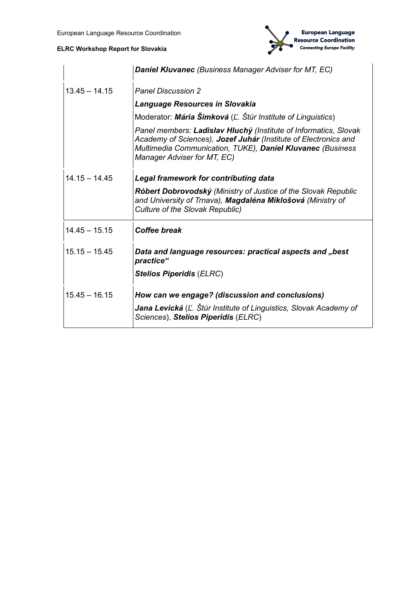

|                 | <b>Daniel Kluvanec</b> (Business Manager Adviser for MT, EC)                                                                                                                                                                     |
|-----------------|----------------------------------------------------------------------------------------------------------------------------------------------------------------------------------------------------------------------------------|
| $13.45 - 14.15$ | <b>Panel Discussion 2</b>                                                                                                                                                                                                        |
|                 | <b>Language Resources in Slovakia</b>                                                                                                                                                                                            |
|                 | Moderator: Mária Šimková (Ľ. Štúr Institute of Linguistics)                                                                                                                                                                      |
|                 | Panel members: Ladislav Hluchý (Institute of Informatics, Slovak<br>Academy of Sciences), Jozef Juhár (Institute of Electronics and<br>Multimedia Communication, TUKE), Daniel Kluvanec (Business<br>Manager Adviser for MT, EC) |
| $14.15 - 14.45$ | <b>Legal framework for contributing data</b>                                                                                                                                                                                     |
|                 | Róbert Dobrovodský (Ministry of Justice of the Slovak Republic<br>and University of Trnava), Magdaléna Miklošová (Ministry of<br><b>Culture of the Slovak Republic)</b>                                                          |
| $14.45 - 15.15$ | <b>Coffee break</b>                                                                                                                                                                                                              |
| $15.15 - 15.45$ | Data and language resources: practical aspects and "best<br>practice"                                                                                                                                                            |
|                 | <b>Stelios Piperidis (ELRC)</b>                                                                                                                                                                                                  |
| $15.45 - 16.15$ | How can we engage? (discussion and conclusions)                                                                                                                                                                                  |
|                 | Jana Levická (Ľ. Štúr Institute of Linguistics, Slovak Academy of<br>Sciences), Stelios Piperidis (ELRC)                                                                                                                         |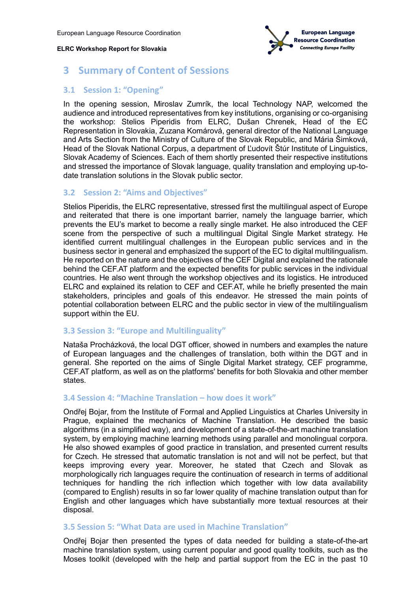

## <span id="page-5-0"></span>**3 Summary of Content of Sessions**

## <span id="page-5-1"></span>**3.1 Session 1: "Opening"**

In the opening session, Miroslav Zumrík, the local Technology NAP, welcomed the audience and introduced representatives from key institutions, organising or co-organising the workshop: Stelios Piperidis from ELRC, Dušan Chrenek, Head of the EC Representation in Slovakia, Zuzana Komárová, general director of the National Language and Arts Section from the Ministry of Culture of the Slovak Republic, and Mária Šimková, Head of the Slovak National Corpus, a department of Ľudovít Štúr Institute of Linguistics, Slovak Academy of Sciences. Each of them shortly presented their respective institutions and stressed the importance of Slovak language, quality translation and employing up-todate translation solutions in the Slovak public sector.

#### <span id="page-5-2"></span>**3.2 Session 2: "Aims and Objectives"**

Stelios Piperidis, the ELRC representative, stressed first the multilingual aspect of Europe and reiterated that there is one important barrier, namely the language barrier, which prevents the EU's market to become a really single market. He also introduced the CEF scene from the perspective of such a multilingual Digital Single Market strategy. He identified current multilingual challenges in the European public services and in the business sector in general and emphasized the support of the EC to digital multilingualism. He reported on the nature and the objectives of the CEF Digital and explained the rationale behind the CEF.AT platform and the expected benefits for public services in the individual countries. He also went through the workshop objectives and its logistics. He introduced ELRC and explained its relation to CEF and CEF.AT, while he briefly presented the main stakeholders, principles and goals of this endeavor. He stressed the main points of potential collaboration between ELRC and the public sector in view of the multilingualism support within the EU.

## <span id="page-5-3"></span>**3.3 Session 3: "Europe and Multilinguality"**

Nataša Procházková, the local DGT officer, showed in numbers and examples the nature of European languages and the challenges of translation, both within the DGT and in general. She reported on the aims of Single Digital Market strategy, CEF programme, CEF.AT platform, as well as on the platforms' benefits for both Slovakia and other member states.

## <span id="page-5-4"></span>**3.4 Session 4: "Machine Translation – how does it work"**

Ondřej Bojar, from the Institute of Formal and Applied Linguistics at Charles University in Prague, explained the mechanics of Machine Translation. He described the basic algorithms (in a simplified way), and development of a state-of-the-art machine translation system, by employing machine learning methods using parallel and monolingual corpora. He also showed examples of good practice in translation, and presented current results for Czech. He stressed that automatic translation is not and will not be perfect, but that keeps improving every year. Moreover, he stated that Czech and Slovak as morphologically rich languages require the continuation of research in terms of additional techniques for handling the rich inflection which together with low data availability (compared to English) results in so far lower quality of machine translation output than for English and other languages which have substantially more textual resources at their disposal.

#### <span id="page-5-5"></span>**3.5 Session 5: "What Data are used in Machine Translation"**

Ondřej Bojar then presented the types of data needed for building a state-of-the-art machine translation system, using current popular and good quality toolkits, such as the Moses toolkit (developed with the help and partial support from the EC in the past 10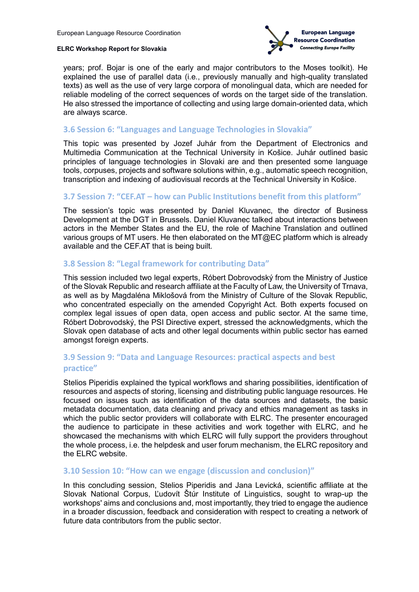

years; prof. Bojar is one of the early and major contributors to the Moses toolkit). He explained the use of parallel data (i.e., previously manually and high-quality translated texts) as well as the use of very large corpora of monolingual data, which are needed for reliable modeling of the correct sequences of words on the target side of the translation. He also stressed the importance of collecting and using large domain-oriented data, which are always scarce.

#### <span id="page-6-0"></span>**3.6 Session 6: "Languages and Language Technologies in Slovakia"**

This topic was presented by Jozef Juhár from the Department of Electronics and Multimedia Communication at the Technical University in Košice. Juhár outlined basic principles of language technologies in Slovaki are and then presented some language tools, corpuses, projects and software solutions within, e.g., automatic speech recognition, transcription and indexing of audiovisual records at the Technical University in Košice.

#### <span id="page-6-1"></span>**3.7 Session 7: "CEF.AT – how can Public Institutions benefit from this platform"**

The session's topic was presented by Daniel Kluvanec, the director of Business Development at the DGT in Brussels. Daniel Kluvanec talked about interactions between actors in the Member States and the EU, the role of Machine Translation and outlined various groups of MT users. He then elaborated on the MT@EC platform which is already available and the CEF.AT that is being built.

#### <span id="page-6-2"></span>**3.8 Session 8: "Legal framework for contributing Data"**

This session included two legal experts, Róbert Dobrovodský from the Ministry of Justice of the Slovak Republic and research affiliate at the Faculty of Law, the University of Trnava, as well as by Magdaléna Miklošová from the Ministry of Culture of the Slovak Republic, who concentrated especially on the amended Copyright Act. Both experts focused on complex legal issues of open data, open access and public sector. At the same time, Róbert Dobrovodský, the PSI Directive expert, stressed the acknowledgments, which the Slovak open database of acts and other legal documents within public sector has earned amongst foreign experts.

## <span id="page-6-3"></span>**3.9 Session 9: "Data and Language Resources: practical aspects and best practice"**

Stelios Piperidis explained the typical workflows and sharing possibilities, identification of resources and aspects of storing, licensing and distributing public language resources. He focused on issues such as identification of the data sources and datasets, the basic metadata documentation, data cleaning and privacy and ethics management as tasks in which the public sector providers will collaborate with ELRC. The presenter encouraged the audience to participate in these activities and work together with ELRC, and he showcased the mechanisms with which ELRC will fully support the providers throughout the whole process, i.e. the helpdesk and user forum mechanism, the ELRC repository and the ELRC website.

#### <span id="page-6-4"></span>**3.10 Session 10: "How can we engage (discussion and conclusion)"**

In this concluding session, Stelios Piperidis and Jana Levická, scientific affiliate at the Slovak National Corpus, Ľudovít Štúr Institute of Linguistics, sought to wrap-up the workshops' aims and conclusions and, most importantly, they tried to engage the audience in a broader discussion, feedback and consideration with respect to creating a network of future data contributors from the public sector.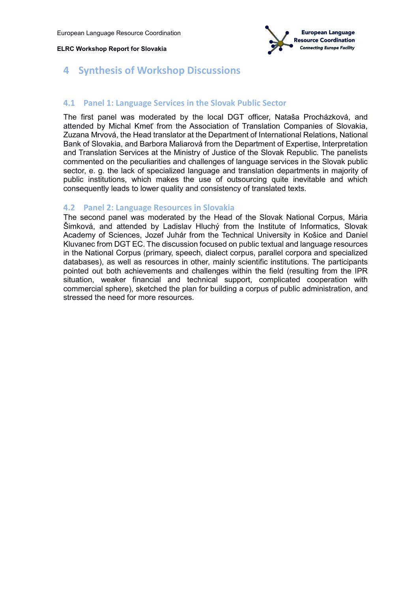

## <span id="page-7-0"></span>**4 Synthesis of Workshop Discussions**

#### <span id="page-7-1"></span>**4.1 Panel 1: Language Services in the Slovak Public Sector**

The first panel was moderated by the local DGT officer, Nataša Procházková, and attended by Michal Kmeť from the Association of Translation Companies of Slovakia, Zuzana Mrvová, the Head translator at the Department of International Relations, National Bank of Slovakia, and Barbora Maliarová from the Department of Expertise, Interpretation and Translation Services at the Ministry of Justice of the Slovak Republic. The panelists commented on the peculiarities and challenges of language services in the Slovak public sector, e. g. the lack of specialized language and translation departments in majority of public institutions, which makes the use of outsourcing quite inevitable and which consequently leads to lower quality and consistency of translated texts.

#### <span id="page-7-2"></span>**4.2 Panel 2: Language Resources in Slovakia**

The second panel was moderated by the Head of the Slovak National Corpus, Mária Šimková, and attended by Ladislav Hluchý from the Institute of Informatics, Slovak Academy of Sciences, Jozef Juhár from the Technical University in Košice and Daniel Kluvanec from DGT EC. The discussion focused on public textual and language resources in the National Corpus (primary, speech, dialect corpus, parallel corpora and specialized databases), as well as resources in other, mainly scientific institutions. The participants pointed out both achievements and challenges within the field (resulting from the IPR situation, weaker financial and technical support, complicated cooperation with commercial sphere), sketched the plan for building a corpus of public administration, and stressed the need for more resources.